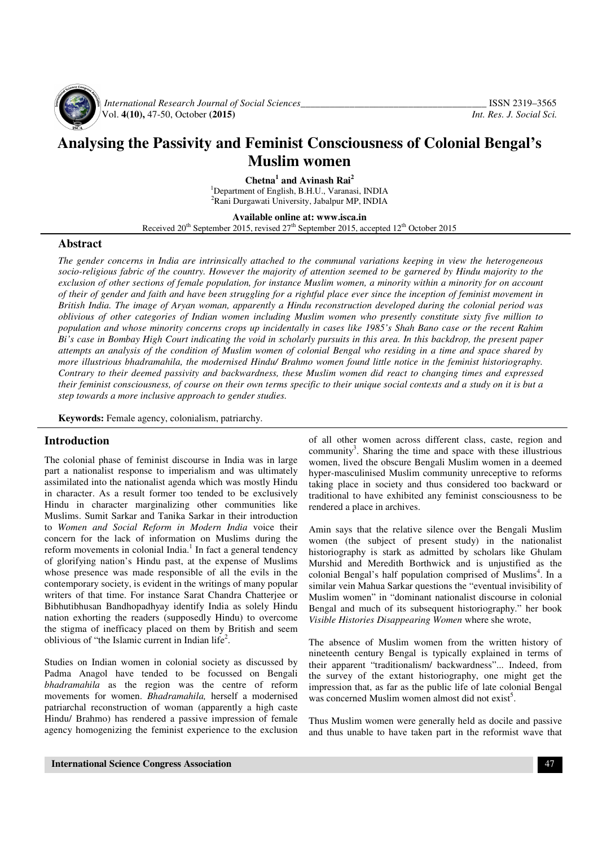

 *International Research Journal of Social Sciences\_\_\_\_\_\_\_\_\_\_\_\_\_\_\_\_\_\_\_\_\_\_\_\_\_\_\_\_\_\_\_\_\_\_\_\_\_\_* ISSN 2319–3565 Vol. **4(10),** 47-50, October **(2015)** *Int. Res. J. Social Sci.*

# **Analysing the Passivity and Feminist Consciousness of Colonial Bengal's Muslim women**

**Chetna<sup>1</sup> and Avinash Rai<sup>2</sup>** <sup>1</sup>Department of English, B.H.U., Varanasi, INDIA <sup>2</sup>Rani Durgawati University, Jabalpur MP, INDIA

**Available online at: www.isca.in** 

Received  $20^{th}$  September 2015, revised  $27^{th}$  September 2015, accepted  $12^{th}$  October 2015

#### **Abstract**

*The gender concerns in India are intrinsically attached to the communal variations keeping in view the heterogeneous*  socio-religious fabric of the country. However the majority of attention seemed to be garnered by Hindu majority to the *exclusion of other sections of female population, for instance Muslim women, a minority within a minority for on account of their of gender and faith and have been struggling for a rightful place ever since the inception of feminist movement in British India. The image of Aryan woman, apparently a Hindu reconstruction developed during the colonial period was oblivious of other categories of Indian women including Muslim women who presently constitute sixty five million to population and whose minority concerns crops up incidentally in cases like 1985's Shah Bano case or the recent Rahim Bi's case in Bombay High Court indicating the void in scholarly pursuits in this area. In this backdrop, the present paper attempts an analysis of the condition of Muslim women of colonial Bengal who residing in a time and space shared by more illustrious bhadramahila, the modernised Hindu/ Brahmo women found little notice in the feminist historiography. Contrary to their deemed passivity and backwardness, these Muslim women did react to changing times and expressed their feminist consciousness, of course on their own terms specific to their unique social contexts and a study on it is but a step towards a more inclusive approach to gender studies.* 

**Keywords:** Female agency, colonialism, patriarchy.

#### **Introduction**

The colonial phase of feminist discourse in India was in large part a nationalist response to imperialism and was ultimately assimilated into the nationalist agenda which was mostly Hindu in character. As a result former too tended to be exclusively Hindu in character marginalizing other communities like Muslims. Sumit Sarkar and Tanika Sarkar in their introduction to *Women and Social Reform in Modern India* voice their concern for the lack of information on Muslims during the reform movements in colonial India.<sup>1</sup> In fact a general tendency of glorifying nation's Hindu past, at the expense of Muslims whose presence was made responsible of all the evils in the contemporary society, is evident in the writings of many popular writers of that time. For instance Sarat Chandra Chatterjee or Bibhutibhusan Bandhopadhyay identify India as solely Hindu nation exhorting the readers (supposedly Hindu) to overcome the stigma of inefficacy placed on them by British and seem oblivious of "the Islamic current in Indian life<sup>2</sup>.

Studies on Indian women in colonial society as discussed by Padma Anagol have tended to be focussed on Bengali *bhadramahila* as the region was the centre of reform movements for women. *Bhadramahila,* herself a modernised patriarchal reconstruction of woman (apparently a high caste Hindu/ Brahmo) has rendered a passive impression of female agency homogenizing the feminist experience to the exclusion

of all other women across different class, caste, region and community<sup>3</sup>. Sharing the time and space with these illustrious women, lived the obscure Bengali Muslim women in a deemed hyper-masculinised Muslim community unreceptive to reforms taking place in society and thus considered too backward or traditional to have exhibited any feminist consciousness to be rendered a place in archives.

Amin says that the relative silence over the Bengali Muslim women (the subject of present study) in the nationalist historiography is stark as admitted by scholars like Ghulam Murshid and Meredith Borthwick and is unjustified as the colonial Bengal's half population comprised of Muslims<sup>4</sup>. In a similar vein Mahua Sarkar questions the "eventual invisibility of Muslim women" in "dominant nationalist discourse in colonial Bengal and much of its subsequent historiography." her book *Visible Histories Disappearing Women* where she wrote,

The absence of Muslim women from the written history of nineteenth century Bengal is typically explained in terms of their apparent "traditionalism/ backwardness"... Indeed, from the survey of the extant historiography, one might get the impression that, as far as the public life of late colonial Bengal was concerned Muslim women almost did not exist<sup>5</sup>.

Thus Muslim women were generally held as docile and passive and thus unable to have taken part in the reformist wave that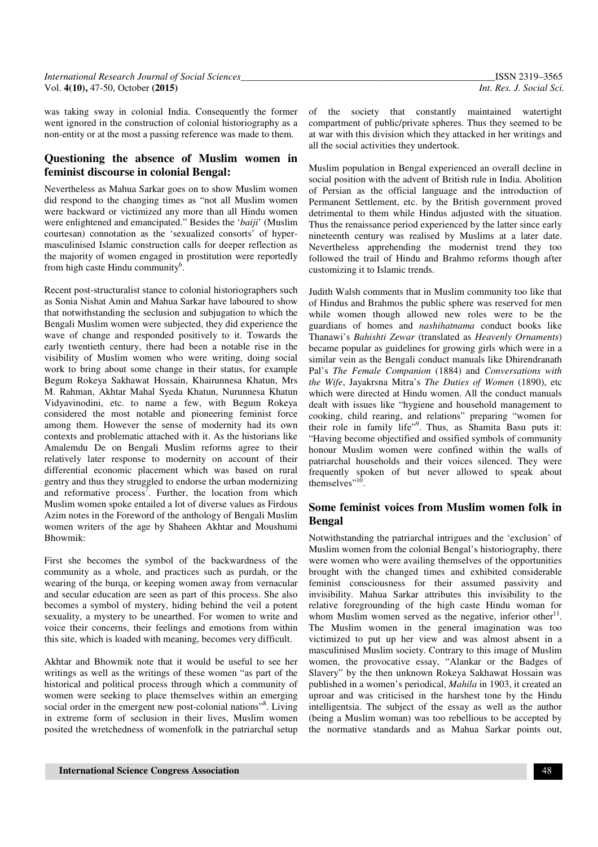was taking sway in colonial India. Consequently the former went ignored in the construction of colonial historiography as a non-entity or at the most a passing reference was made to them.

## **Questioning the absence of Muslim women in feminist discourse in colonial Bengal:**

Nevertheless as Mahua Sarkar goes on to show Muslim women did respond to the changing times as "not all Muslim women were backward or victimized any more than all Hindu women were enlightened and emancipated." Besides the '*baiji*' (Muslim courtesan) connotation as the 'sexualized consorts' of hypermasculinised Islamic construction calls for deeper reflection as the majority of women engaged in prostitution were reportedly from high caste Hindu community<sup>6</sup>.

Recent post-structuralist stance to colonial historiographers such as Sonia Nishat Amin and Mahua Sarkar have laboured to show that notwithstanding the seclusion and subjugation to which the Bengali Muslim women were subjected, they did experience the wave of change and responded positively to it. Towards the early twentieth century, there had been a notable rise in the visibility of Muslim women who were writing, doing social work to bring about some change in their status, for example Begum Rokeya Sakhawat Hossain, Khairunnesa Khatun, Mrs M. Rahman, Akhtar Mahal Syeda Khatun, Nurunnesa Khatun Vidyavinodini, etc. to name a few, with Begum Rokeya considered the most notable and pioneering feminist force among them. However the sense of modernity had its own contexts and problematic attached with it. As the historians like Amalemdu De on Bengali Muslim reforms agree to their relatively later response to modernity on account of their differential economic placement which was based on rural gentry and thus they struggled to endorse the urban modernizing and reformative process<sup>7</sup>. Further, the location from which Muslim women spoke entailed a lot of diverse values as Firdous Azim notes in the Foreword of the anthology of Bengali Muslim women writers of the age by Shaheen Akhtar and Moushumi Bhowmik:

First she becomes the symbol of the backwardness of the community as a whole, and practices such as purdah, or the wearing of the burqa, or keeping women away from vernacular and secular education are seen as part of this process. She also becomes a symbol of mystery, hiding behind the veil a potent sexuality, a mystery to be unearthed. For women to write and voice their concerns, their feelings and emotions from within this site, which is loaded with meaning, becomes very difficult.

Akhtar and Bhowmik note that it would be useful to see her writings as well as the writings of these women "as part of the historical and political process through which a community of women were seeking to place themselves within an emerging social order in the emergent new post-colonial nations"<sup>8</sup>. Living in extreme form of seclusion in their lives, Muslim women posited the wretchedness of womenfolk in the patriarchal setup

of the society that constantly maintained watertight compartment of public/private spheres. Thus they seemed to be at war with this division which they attacked in her writings and all the social activities they undertook.

Muslim population in Bengal experienced an overall decline in social position with the advent of British rule in India. Abolition of Persian as the official language and the introduction of Permanent Settlement, etc. by the British government proved detrimental to them while Hindus adjusted with the situation. Thus the renaissance period experienced by the latter since early nineteenth century was realised by Muslims at a later date. Nevertheless apprehending the modernist trend they too followed the trail of Hindu and Brahmo reforms though after customizing it to Islamic trends.

Judith Walsh comments that in Muslim community too like that of Hindus and Brahmos the public sphere was reserved for men while women though allowed new roles were to be the guardians of homes and *nashihatnama* conduct books like Thanawi's *Bahishti Zewar* (translated as *Heavenly Ornaments*) became popular as guidelines for growing girls which were in a similar vein as the Bengali conduct manuals like Dhirendranath Pal's *The Female Companion* (1884) and *Conversations with the Wife*, Jayakrsna Mitra's *The Duties of Women* (1890), etc which were directed at Hindu women. All the conduct manuals dealt with issues like "hygiene and household management to cooking, child rearing, and relations" preparing "women for their role in family life"<sup>9</sup>. Thus, as Shamita Basu puts it: "Having become objectified and ossified symbols of community honour Muslim women were confined within the walls of patriarchal households and their voices silenced. They were frequently spoken of but never allowed to speak about themselves"<sup> $,10$ </sup>.

# **Some feminist voices from Muslim women folk in Bengal**

Notwithstanding the patriarchal intrigues and the 'exclusion' of Muslim women from the colonial Bengal's historiography, there were women who were availing themselves of the opportunities brought with the changed times and exhibited considerable feminist consciousness for their assumed passivity and invisibility. Mahua Sarkar attributes this invisibility to the relative foregrounding of the high caste Hindu woman for whom Muslim women served as the negative, inferior other $11$ . The Muslim women in the general imagination was too victimized to put up her view and was almost absent in a masculinised Muslim society. Contrary to this image of Muslim women, the provocative essay, "Alankar or the Badges of Slavery" by the then unknown Rokeya Sakhawat Hossain was published in a women's periodical, *Mahila* in 1903, it created an uproar and was criticised in the harshest tone by the Hindu intelligentsia. The subject of the essay as well as the author (being a Muslim woman) was too rebellious to be accepted by the normative standards and as Mahua Sarkar points out,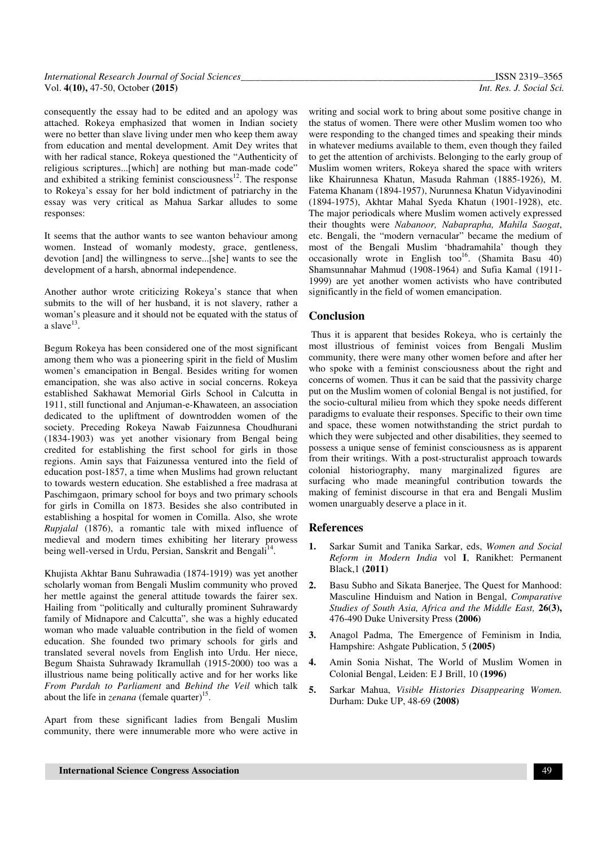consequently the essay had to be edited and an apology was attached. Rokeya emphasized that women in Indian society were no better than slave living under men who keep them away from education and mental development. Amit Dey writes that with her radical stance, Rokeya questioned the "Authenticity of religious scriptures...[which] are nothing but man-made code" and exhibited a striking feminist consciousness $12$ . The response to Rokeya's essay for her bold indictment of patriarchy in the essay was very critical as Mahua Sarkar alludes to some responses:

It seems that the author wants to see wanton behaviour among women. Instead of womanly modesty, grace, gentleness, devotion [and] the willingness to serve...[she] wants to see the development of a harsh, abnormal independence.

Another author wrote criticizing Rokeya's stance that when submits to the will of her husband, it is not slavery, rather a woman's pleasure and it should not be equated with the status of a slave $^{13}$ .

Begum Rokeya has been considered one of the most significant among them who was a pioneering spirit in the field of Muslim women's emancipation in Bengal. Besides writing for women emancipation, she was also active in social concerns. Rokeya established Sakhawat Memorial Girls School in Calcutta in 1911, still functional and Anjuman-e-Khawateen, an association dedicated to the upliftment of downtrodden women of the society. Preceding Rokeya Nawab Faizunnesa Choudhurani (1834-1903) was yet another visionary from Bengal being credited for establishing the first school for girls in those regions. Amin says that Faizunessa ventured into the field of education post-1857, a time when Muslims had grown reluctant to towards western education. She established a free madrasa at Paschimgaon, primary school for boys and two primary schools for girls in Comilla on 1873. Besides she also contributed in establishing a hospital for women in Comilla. Also, she wrote *Rupjalal* (1876), a romantic tale with mixed influence of medieval and modern times exhibiting her literary prowess being well-versed in Urdu, Persian, Sanskrit and Bengali<sup>14</sup>.

Khujista Akhtar Banu Suhrawadia (1874-1919) was yet another scholarly woman from Bengali Muslim community who proved her mettle against the general attitude towards the fairer sex. Hailing from "politically and culturally prominent Suhrawardy family of Midnapore and Calcutta", she was a highly educated woman who made valuable contribution in the field of women education. She founded two primary schools for girls and translated several novels from English into Urdu. Her niece, Begum Shaista Suhrawady Ikramullah (1915-2000) too was a illustrious name being politically active and for her works like *From Purdah to Parliament* and *Behind the Veil* which talk about the life in *zenana* (female quarter)<sup>15</sup>.

Apart from these significant ladies from Bengali Muslim community, there were innumerable more who were active in

writing and social work to bring about some positive change in the status of women. There were other Muslim women too who were responding to the changed times and speaking their minds in whatever mediums available to them, even though they failed to get the attention of archivists. Belonging to the early group of Muslim women writers, Rokeya shared the space with writers like Khairunnesa Khatun, Masuda Rahman (1885-1926), M. Fatema Khanam (1894-1957), Nurunnesa Khatun Vidyavinodini (1894-1975), Akhtar Mahal Syeda Khatun (1901-1928), etc. The major periodicals where Muslim women actively expressed their thoughts were *Nabanoor, Nabaprapha, Mahila Saogat*, etc. Bengali, the "modern vernacular" became the medium of most of the Bengali Muslim 'bhadramahila' though they occasionally wrote in English too<sup>16</sup>. (Shamita Basu 40) Shamsunnahar Mahmud (1908-1964) and Sufia Kamal (1911- 1999) are yet another women activists who have contributed significantly in the field of women emancipation.

### **Conclusion**

 Thus it is apparent that besides Rokeya, who is certainly the most illustrious of feminist voices from Bengali Muslim community, there were many other women before and after her who spoke with a feminist consciousness about the right and concerns of women. Thus it can be said that the passivity charge put on the Muslim women of colonial Bengal is not justified, for the socio-cultural milieu from which they spoke needs different paradigms to evaluate their responses. Specific to their own time and space, these women notwithstanding the strict purdah to which they were subjected and other disabilities, they seemed to possess a unique sense of feminist consciousness as is apparent from their writings. With a post-structuralist approach towards colonial historiography, many marginalized figures are surfacing who made meaningful contribution towards the making of feminist discourse in that era and Bengali Muslim women unarguably deserve a place in it.

#### **References**

- **1.** Sarkar Sumit and Tanika Sarkar, eds, *Women and Social Reform in Modern India* vol **I**, Ranikhet: Permanent Black,1 **(2011)**
- **2.** Basu Subho and Sikata Banerjee, The Quest for Manhood: Masculine Hinduism and Nation in Bengal, *Comparative Studies of South Asia, Africa and the Middle East,* **26(3),** 476-490 Duke University Press **(2006)**
- **3.** Anagol Padma, The Emergence of Feminism in India*,*  Hampshire: Ashgate Publication, 5 **(2005)**
- **4.** Amin Sonia Nishat, The World of Muslim Women in Colonial Bengal, Leiden: E J Brill, 10 **(1996)**
- **5.** Sarkar Mahua, *Visible Histories Disappearing Women.*  Durham: Duke UP, 48-69 **(2008)**

**International Science Congress Association** 49